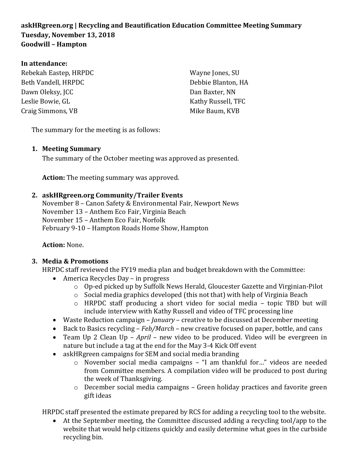# **askHRgreen.org | Recycling and Beautification Education Committee Meeting Summary Tuesday, November 13, 2018 Goodwill – Hampton**

#### **In attendance:**

Rebekah Eastep, HRPDC Beth Vandell, HRPDC Dawn Oleksy, JCC Leslie Bowie, GL Craig Simmons, VB

Wayne Jones, SU Debbie Blanton, HA Dan Baxter, NN Kathy Russell, TFC Mike Baum, KVB

The summary for the meeting is as follows:

### **1. Meeting Summary**

The summary of the October meeting was approved as presented.

**Action:** The meeting summary was approved.

## **2. askHRgreen.org Community/Trailer Events**

November 8 – Canon Safety & Environmental Fair, Newport News November 13 – Anthem Eco Fair, Virginia Beach November 15 – Anthem Eco Fair, Norfolk February 9-10 – Hampton Roads Home Show, Hampton

## **Action:** None.

## **3. Media & Promotions**

HRPDC staff reviewed the FY19 media plan and budget breakdown with the Committee:

- America Recycles Day in progress
	- o Op-ed picked up by Suffolk News Herald, Gloucester Gazette and Virginian-Pilot
	- o Social media graphics developed (this not that) with help of Virginia Beach
	- o HRPDC staff producing a short video for social media topic TBD but will include interview with Kathy Russell and video of TFC processing line
- Waste Reduction campaign *January* creative to be discussed at December meeting
- Back to Basics recycling *Feb/March* new creative focused on paper, bottle, and cans
- Team Up 2 Clean Up *April* new video to be produced. Video will be evergreen in nature but include a tag at the end for the May 3-4 Kick Off event
- askHRgreen campaigns for SEM and social media branding
	- o November social media campaigns "I am thankful for…" videos are needed from Committee members. A compilation video will be produced to post during the week of Thanksgiving.
	- o December social media campaigns Green holiday practices and favorite green gift ideas

HRPDC staff presented the estimate prepared by RCS for adding a recycling tool to the website.

 At the September meeting, the Committee discussed adding a recycling tool/app to the website that would help citizens quickly and easily determine what goes in the curbside recycling bin.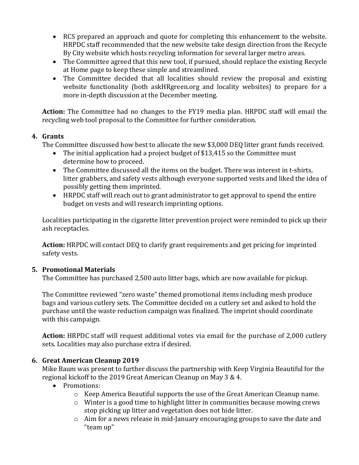- RCS prepared an approach and quote for completing this enhancement to the website. HRPDC staff recommended that the new website take design direction from the Recycle By City website which hosts recycling information for several larger metro areas.
- The Committee agreed that this new tool, if pursued, should replace the existing Recycle at Home page to keep these simple and streamlined.
- The Committee decided that all localities should review the proposal and existing website functionality (both askHRgreen.org and locality websites) to prepare for a more in-depth discussion at the December meeting.

**Action:** The Committee had no changes to the FY19 media plan. HRPDC staff will email the recycling web tool proposal to the Committee for further consideration.

### **4. Grants**

The Committee discussed how best to allocate the new \$3,000 DEQ litter grant funds received.

- The initial application had a project budget of \$13,415 so the Committee must determine how to proceed.
- The Committee discussed all the items on the budget. There was interest in t-shirts, litter grabbers, and safety vests although everyone supported vests and liked the idea of possibly getting them imprinted.
- HRPDC staff will reach out to grant administrator to get approval to spend the entire budget on vests and will research imprinting options.

Localities participating in the cigarette litter prevention project were reminded to pick up their ash receptacles.

**Action:** HRPDC will contact DEQ to clarify grant requirements and get pricing for imprinted safety vests.

## **5. Promotional Materials**

The Committee has purchased 2,500 auto litter bags, which are now available for pickup.

The Committee reviewed "zero waste" themed promotional items including mesh produce bags and various cutlery sets. The Committee decided on a cutlery set and asked to hold the purchase until the waste reduction campaign was finalized. The imprint should coordinate with this campaign.

**Action:** HRPDC staff will request additional votes via email for the purchase of 2,000 cutlery sets. Localities may also purchase extra if desired.

## **6. Great American Cleanup 2019**

Mike Baum was present to further discuss the partnership with Keep Virginia Beautiful for the regional kickoff to the 2019 Great American Cleanup on May 3 & 4.

- Promotions:
	- o Keep America Beautiful supports the use of the Great American Cleanup name.
	- o Winter is a good time to highlight litter in communities because mowing crews stop picking up litter and vegetation does not hide litter.
	- o Aim for a news release in mid-January encouraging groups to save the date and "team up"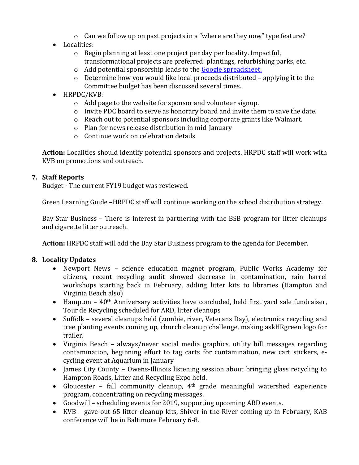- o Can we follow up on past projects in a "where are they now" type feature?
- Localities:
	- o Begin planning at least one project per day per locality. Impactful, transformational projects are preferred: plantings, refurbishing parks, etc.
	- $\circ$  Add potential sponsorship leads to th[e Google spreadsheet.](o%09https:/docs.google.com/spreadsheets/d/1v0IpJw0bqI4JN9S9iQjBTAQqyNoml0zZYQbhJgFCI0I/edit?usp=sharing)
	- o Determine how you would like local proceeds distributed applying it to the Committee budget has been discussed several times.
- HRPDC/KVB:
	- o Add page to the website for sponsor and volunteer signup.
	- o Invite PDC board to serve as honorary board and invite them to save the date.
	- o Reach out to potential sponsors including corporate grants like Walmart.
	- o Plan for news release distribution in mid-January
	- o Continue work on celebration details

**Action:** Localities should identify potential sponsors and projects. HRPDC staff will work with KVB on promotions and outreach.

## **7. Staff Reports**

Budget *-* The current FY19 budget was reviewed.

Green Learning Guide –HRPDC staff will continue working on the school distribution strategy.

Bay Star Business – There is interest in partnering with the BSB program for litter cleanups and cigarette litter outreach.

**Action:** HRPDC staff will add the Bay Star Business program to the agenda for December.

## **8. Locality Updates**

- Newport News science education magnet program, Public Works Academy for citizens, recent recycling audit showed decrease in contamination, rain barrel workshops starting back in February, adding litter kits to libraries (Hampton and Virginia Beach also)
- $\bullet$  Hampton 40<sup>th</sup> Anniversary activities have concluded, held first yard sale fundraiser, Tour de Recycling scheduled for ARD, litter cleanups
- Suffolk several cleanups held (zombie, river, Veterans Day), electronics recycling and tree planting events coming up, church cleanup challenge, making askHRgreen logo for trailer.
- Virginia Beach always/never social media graphics, utility bill messages regarding contamination, beginning effort to tag carts for contamination, new cart stickers, ecycling event at Aquarium in January
- James City County Owens-Illinois listening session about bringing glass recycling to Hampton Roads, Litter and Recycling Expo held.
- Gloucester fall community cleanup,  $4<sup>th</sup>$  grade meaningful watershed experience program, concentrating on recycling messages.
- Goodwill scheduling events for 2019, supporting upcoming ARD events.
- KVB gave out 65 litter cleanup kits, Shiver in the River coming up in February, KAB conference will be in Baltimore February 6-8.